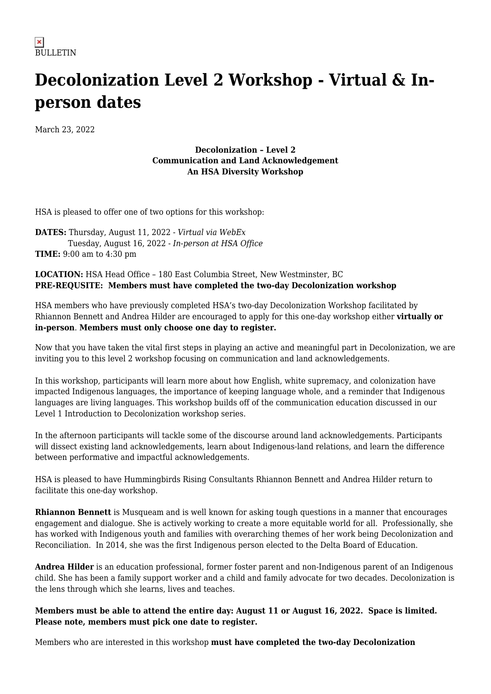## **Decolonization Level 2 Workshop - Virtual & Inperson dates**

March 23, 2022

## **Decolonization – Level 2 Communication and Land Acknowledgement An HSA Diversity Workshop**

HSA is pleased to offer one of two options for this workshop:

**DATES:** Thursday, August 11, 2022 - *Virtual via WebEx* Tuesday, August 16, 2022 - *In-person at HSA Office* **TIME:** 9:00 am to 4:30 pm

## **LOCATION:** HSA Head Office – 180 East Columbia Street, New Westminster, BC **PRE-REQUSITE: Members must have completed the two-day Decolonization workshop**

HSA members who have previously completed HSA's two-day Decolonization Workshop facilitated by Rhiannon Bennett and Andrea Hilder are encouraged to apply for this one-day workshop either **virtually or in-person**. **Members must only choose one day to register.**

Now that you have taken the vital first steps in playing an active and meaningful part in Decolonization, we are inviting you to this level 2 workshop focusing on communication and land acknowledgements.

In this workshop, participants will learn more about how English, white supremacy, and colonization have impacted Indigenous languages, the importance of keeping language whole, and a reminder that Indigenous languages are living languages. This workshop builds off of the communication education discussed in our Level 1 Introduction to Decolonization workshop series.

In the afternoon participants will tackle some of the discourse around land acknowledgements. Participants will dissect existing land acknowledgements, learn about Indigenous-land relations, and learn the difference between performative and impactful acknowledgements.

HSA is pleased to have Hummingbirds Rising Consultants Rhiannon Bennett and Andrea Hilder return to facilitate this one-day workshop.

**Rhiannon Bennett** is Musqueam and is well known for asking tough questions in a manner that encourages engagement and dialogue. She is actively working to create a more equitable world for all. Professionally, she has worked with Indigenous youth and families with overarching themes of her work being Decolonization and Reconciliation. In 2014, she was the first Indigenous person elected to the Delta Board of Education.

**Andrea Hilder** is an education professional, former foster parent and non-Indigenous parent of an Indigenous child. She has been a family support worker and a child and family advocate for two decades. Decolonization is the lens through which she learns, lives and teaches.

**Members must be able to attend the entire day: August 11 or August 16, 2022. Space is limited. Please note, members must pick one date to register.**

Members who are interested in this workshop **must have completed the two-day Decolonization**